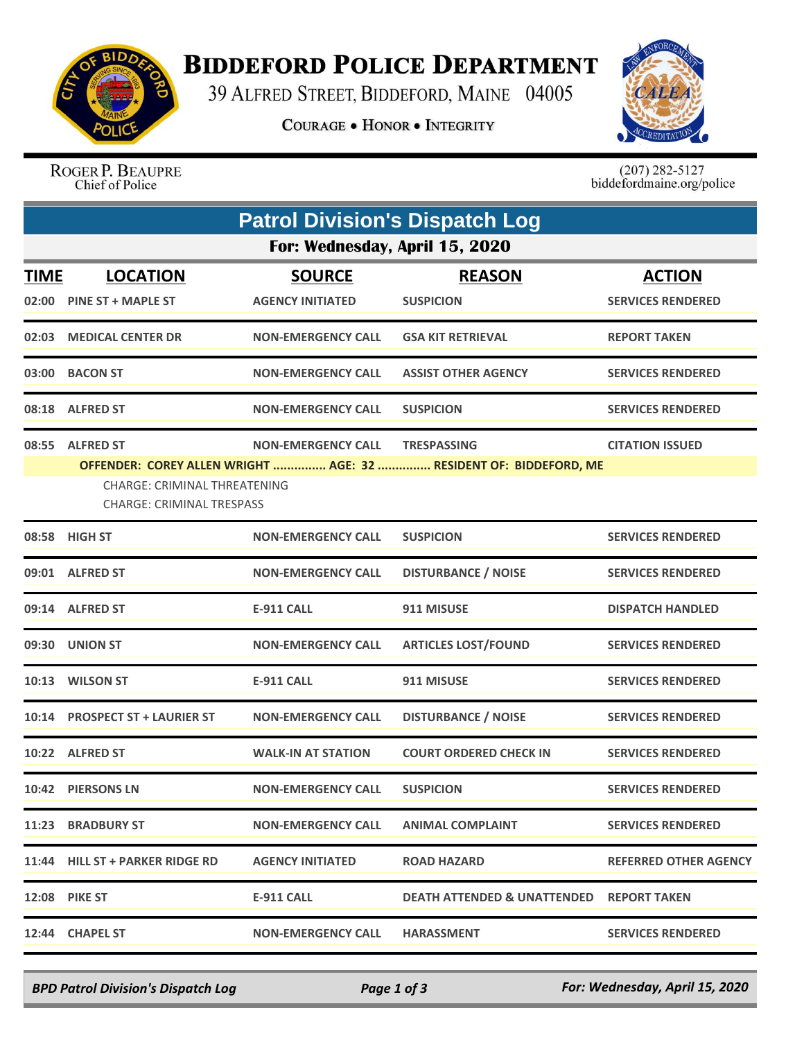

## **BIDDEFORD POLICE DEPARTMENT**

39 ALFRED STREET, BIDDEFORD, MAINE 04005

**COURAGE . HONOR . INTEGRITY** 



ROGER P. BEAUPRE Chief of Police

 $(207)$  282-5127<br>biddefordmaine.org/police

|             | <b>Patrol Division's Dispatch Log</b>                                                                                                 |                           |                                                     |                              |  |  |  |  |
|-------------|---------------------------------------------------------------------------------------------------------------------------------------|---------------------------|-----------------------------------------------------|------------------------------|--|--|--|--|
|             | For: Wednesday, April 15, 2020                                                                                                        |                           |                                                     |                              |  |  |  |  |
| <b>TIME</b> | <b>LOCATION</b>                                                                                                                       | <b>SOURCE</b>             | <b>REASON</b>                                       | <b>ACTION</b>                |  |  |  |  |
|             | 02:00 PINE ST + MAPLE ST                                                                                                              | <b>AGENCY INITIATED</b>   | <b>SUSPICION</b>                                    | <b>SERVICES RENDERED</b>     |  |  |  |  |
|             | 02:03 MEDICAL CENTER DR                                                                                                               | <b>NON-EMERGENCY CALL</b> | <b>GSA KIT RETRIEVAL</b>                            | <b>REPORT TAKEN</b>          |  |  |  |  |
|             | 03:00 BACON ST                                                                                                                        | <b>NON-EMERGENCY CALL</b> | <b>ASSIST OTHER AGENCY</b>                          | <b>SERVICES RENDERED</b>     |  |  |  |  |
|             | 08:18 ALFRED ST                                                                                                                       | <b>NON-EMERGENCY CALL</b> | <b>SUSPICION</b>                                    | <b>SERVICES RENDERED</b>     |  |  |  |  |
|             | 08:55 ALFRED ST                                                                                                                       | <b>NON-EMERGENCY CALL</b> | <b>TRESPASSING</b>                                  | <b>CITATION ISSUED</b>       |  |  |  |  |
|             | OFFENDER: COREY ALLEN WRIGHT  AGE: 32  RESIDENT OF: BIDDEFORD, ME<br>CHARGE: CRIMINAL THREATENING<br><b>CHARGE: CRIMINAL TRESPASS</b> |                           |                                                     |                              |  |  |  |  |
|             | 08:58 HIGH ST                                                                                                                         | <b>NON-EMERGENCY CALL</b> | <b>SUSPICION</b>                                    | <b>SERVICES RENDERED</b>     |  |  |  |  |
|             | 09:01 ALFRED ST                                                                                                                       | <b>NON-EMERGENCY CALL</b> | <b>DISTURBANCE / NOISE</b>                          | <b>SERVICES RENDERED</b>     |  |  |  |  |
|             | 09:14 ALFRED ST                                                                                                                       | <b>E-911 CALL</b>         | 911 MISUSE                                          | <b>DISPATCH HANDLED</b>      |  |  |  |  |
|             | 09:30 UNION ST                                                                                                                        | <b>NON-EMERGENCY CALL</b> | <b>ARTICLES LOST/FOUND</b>                          | <b>SERVICES RENDERED</b>     |  |  |  |  |
|             | 10:13 WILSON ST                                                                                                                       | <b>E-911 CALL</b>         | 911 MISUSE                                          | <b>SERVICES RENDERED</b>     |  |  |  |  |
|             | 10:14 PROSPECT ST + LAURIER ST                                                                                                        | <b>NON-EMERGENCY CALL</b> | <b>DISTURBANCE / NOISE</b>                          | <b>SERVICES RENDERED</b>     |  |  |  |  |
|             | 10:22 ALFRED ST                                                                                                                       | <b>WALK-IN AT STATION</b> | <b>COURT ORDERED CHECK IN</b>                       | <b>SERVICES RENDERED</b>     |  |  |  |  |
|             | 10:42 PIERSONS LN                                                                                                                     | <b>NON-EMERGENCY CALL</b> | <b>SUSPICION</b>                                    | <b>SERVICES RENDERED</b>     |  |  |  |  |
|             | 11:23 BRADBURY ST                                                                                                                     | <b>NON-EMERGENCY CALL</b> | <b>ANIMAL COMPLAINT</b>                             | <b>SERVICES RENDERED</b>     |  |  |  |  |
|             | 11:44 HILL ST + PARKER RIDGE RD                                                                                                       | <b>AGENCY INITIATED</b>   | <b>ROAD HAZARD</b>                                  | <b>REFERRED OTHER AGENCY</b> |  |  |  |  |
|             | <b>12:08 PIKE ST</b>                                                                                                                  | E-911 CALL                | <b>DEATH ATTENDED &amp; UNATTENDED REPORT TAKEN</b> |                              |  |  |  |  |
|             | 12:44 CHAPEL ST                                                                                                                       | <b>NON-EMERGENCY CALL</b> | <b>HARASSMENT</b>                                   | <b>SERVICES RENDERED</b>     |  |  |  |  |

*BPD Patrol Division's Dispatch Log Page 1 of 3 For: Wednesday, April 15, 2020*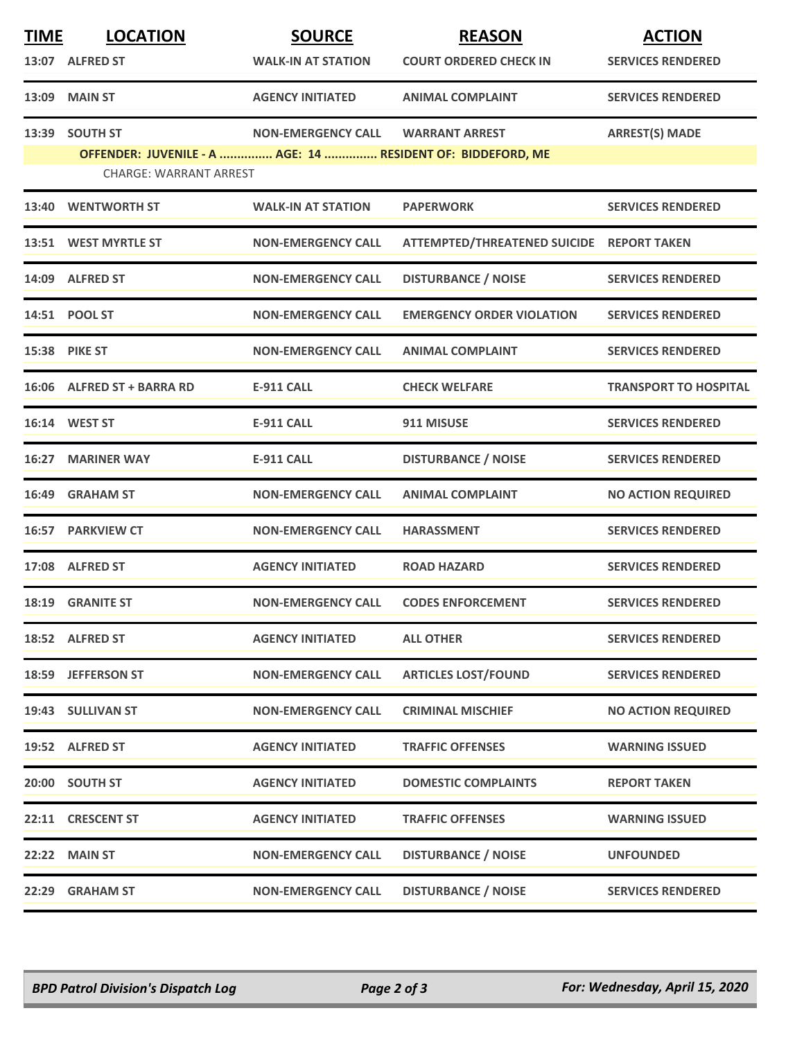| <b>TIME</b> | <b>LOCATION</b><br>13:07 ALFRED ST                                                                             | <b>SOURCE</b><br><b>WALK-IN AT STATION</b> | <b>REASON</b><br><b>COURT ORDERED CHECK IN</b> | <b>ACTION</b><br><b>SERVICES RENDERED</b> |
|-------------|----------------------------------------------------------------------------------------------------------------|--------------------------------------------|------------------------------------------------|-------------------------------------------|
|             | 13:09 MAIN ST                                                                                                  | <b>AGENCY INITIATED</b>                    | <b>ANIMAL COMPLAINT</b>                        | <b>SERVICES RENDERED</b>                  |
|             | 13:39 SOUTH ST<br>OFFENDER: JUVENILE - A  AGE: 14  RESIDENT OF: BIDDEFORD, ME<br><b>CHARGE: WARRANT ARREST</b> | <b>NON-EMERGENCY CALL</b>                  | <b>WARRANT ARREST</b>                          | <b>ARREST(S) MADE</b>                     |
|             | 13:40 WENTWORTH ST                                                                                             | <b>WALK-IN AT STATION</b>                  | <b>PAPERWORK</b>                               | <b>SERVICES RENDERED</b>                  |
| 13:51       | <b>WEST MYRTLE ST</b>                                                                                          | <b>NON-EMERGENCY CALL</b>                  | ATTEMPTED/THREATENED SUICIDE REPORT TAKEN      |                                           |
|             | 14:09 ALFRED ST                                                                                                | <b>NON-EMERGENCY CALL</b>                  | <b>DISTURBANCE / NOISE</b>                     | <b>SERVICES RENDERED</b>                  |
|             | 14:51 POOL ST                                                                                                  | <b>NON-EMERGENCY CALL</b>                  | <b>EMERGENCY ORDER VIOLATION</b>               | <b>SERVICES RENDERED</b>                  |
|             | 15:38 PIKE ST                                                                                                  | <b>NON-EMERGENCY CALL</b>                  | <b>ANIMAL COMPLAINT</b>                        | <b>SERVICES RENDERED</b>                  |
|             | 16:06 ALFRED ST + BARRA RD                                                                                     | <b>E-911 CALL</b>                          | <b>CHECK WELFARE</b>                           | <b>TRANSPORT TO HOSPITAL</b>              |
|             | 16:14 WEST ST                                                                                                  | <b>E-911 CALL</b>                          | 911 MISUSE                                     | <b>SERVICES RENDERED</b>                  |
|             | 16:27 MARINER WAY                                                                                              | <b>E-911 CALL</b>                          | <b>DISTURBANCE / NOISE</b>                     | <b>SERVICES RENDERED</b>                  |
| 16:49       | <b>GRAHAM ST</b>                                                                                               | <b>NON-EMERGENCY CALL</b>                  | <b>ANIMAL COMPLAINT</b>                        | <b>NO ACTION REQUIRED</b>                 |
|             | <b>16:57 PARKVIEW CT</b>                                                                                       | <b>NON-EMERGENCY CALL</b>                  | <b>HARASSMENT</b>                              | <b>SERVICES RENDERED</b>                  |
|             | 17:08 ALFRED ST                                                                                                | <b>AGENCY INITIATED</b>                    | <b>ROAD HAZARD</b>                             | <b>SERVICES RENDERED</b>                  |
|             | <b>18:19 GRANITE ST</b>                                                                                        | <b>NON-EMERGENCY CALL</b>                  | <b>CODES ENFORCEMENT</b>                       | <b>SERVICES RENDERED</b>                  |
|             | 18:52 ALFRED ST                                                                                                | <b>AGENCY INITIATED</b>                    | <b>ALL OTHER</b>                               | <b>SERVICES RENDERED</b>                  |
|             | 18:59 JEFFERSON ST                                                                                             | <b>NON-EMERGENCY CALL</b>                  | <b>ARTICLES LOST/FOUND</b>                     | <b>SERVICES RENDERED</b>                  |
|             | 19:43 SULLIVAN ST                                                                                              | <b>NON-EMERGENCY CALL</b>                  | <b>CRIMINAL MISCHIEF</b>                       | <b>NO ACTION REQUIRED</b>                 |
|             | 19:52 ALFRED ST                                                                                                | <b>AGENCY INITIATED</b>                    | <b>TRAFFIC OFFENSES</b>                        | <b>WARNING ISSUED</b>                     |
|             | 20:00 SOUTH ST                                                                                                 | <b>AGENCY INITIATED</b>                    | <b>DOMESTIC COMPLAINTS</b>                     | <b>REPORT TAKEN</b>                       |
|             | 22:11 CRESCENT ST                                                                                              | <b>AGENCY INITIATED</b>                    | <b>TRAFFIC OFFENSES</b>                        | <b>WARNING ISSUED</b>                     |
|             | 22:22 MAIN ST                                                                                                  | <b>NON-EMERGENCY CALL</b>                  | <b>DISTURBANCE / NOISE</b>                     | <b>UNFOUNDED</b>                          |
| 22:29       | <b>GRAHAM ST</b>                                                                                               | <b>NON-EMERGENCY CALL</b>                  | <b>DISTURBANCE / NOISE</b>                     | <b>SERVICES RENDERED</b>                  |